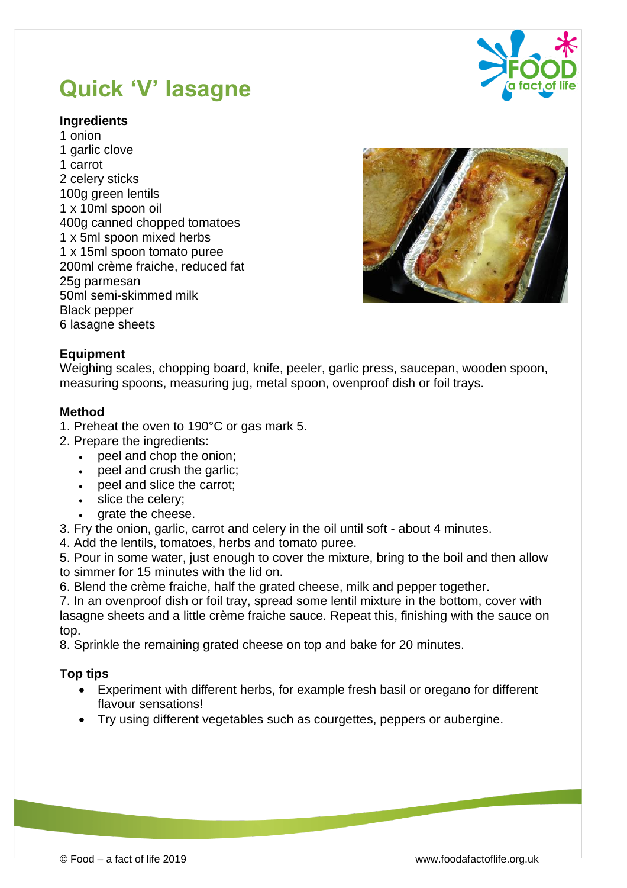# **Quick 'V' lasagne**



### **Ingredients**

1 onion 1 garlic clove 1 carrot 2 celery sticks 100g green lentils 1 x 10ml spoon oil 400g canned chopped tomatoes 1 x 5ml spoon mixed herbs 1 x 15ml spoon tomato puree 200ml crème fraiche, reduced fat 25g parmesan 50ml semi-skimmed milk Black pepper 6 lasagne sheets



#### **Equipment**

Weighing scales, chopping board, knife, peeler, garlic press, saucepan, wooden spoon, measuring spoons, measuring jug, metal spoon, ovenproof dish or foil trays.

#### **Method**

- 1. Preheat the oven to 190°C or gas mark 5.
- 2. Prepare the ingredients:
	- peel and chop the onion;
	- peel and crush the garlic;
	- peel and slice the carrot;
	- slice the celery;
	- grate the cheese.
- 3. Fry the onion, garlic, carrot and celery in the oil until soft about 4 minutes.
- 4. Add the lentils, tomatoes, herbs and tomato puree.
- 5. Pour in some water, just enough to cover the mixture, bring to the boil and then allow to simmer for 15 minutes with the lid on.
- 6. Blend the crème fraiche, half the grated cheese, milk and pepper together.

7. In an ovenproof dish or foil tray, spread some lentil mixture in the bottom, cover with lasagne sheets and a little crème fraiche sauce. Repeat this, finishing with the sauce on top.

8. Sprinkle the remaining grated cheese on top and bake for 20 minutes.

## **Top tips**

- Experiment with different herbs, for example fresh basil or oregano for different flavour sensations!
- Try using different vegetables such as courgettes, peppers or aubergine.